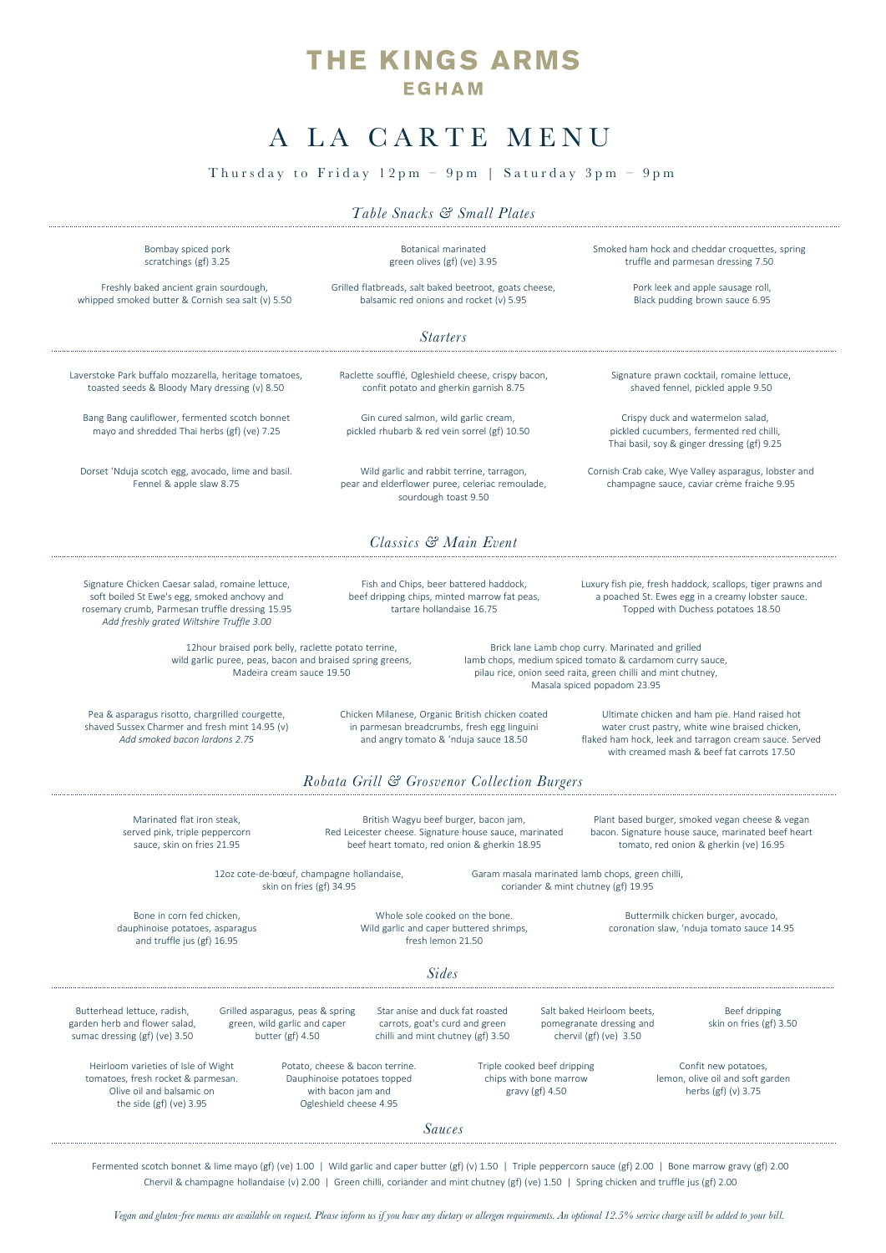### **THE KINGS ARMS** EGHAM

# A LA CARTE MENU

Thursday to Friday  $12 \text{p m} - 9 \text{p m}$  | Saturday  $3 \text{p m} - 9 \text{p m}$ 

*Table Snacks & Small Plates*

#### *Sides*

*Vegan and gluten-free menus are available on request. Please inform us if you have any dietary or allergen requirements. An optional 12.5% service charge will be added to your bill.*

*Sauces*

| Bombay spiced pork<br>scratchings (gf) 3.25                                                                                                                                                      | <b>Botanical marinated</b><br>green olives (gf) (ve) 3.95                                                                                                                                                    | Smoked ham hock and cheddar croquettes, spring<br>truffle and parmesan dressing 7.50                                                                                                                     |  |  |  |
|--------------------------------------------------------------------------------------------------------------------------------------------------------------------------------------------------|--------------------------------------------------------------------------------------------------------------------------------------------------------------------------------------------------------------|----------------------------------------------------------------------------------------------------------------------------------------------------------------------------------------------------------|--|--|--|
| Freshly baked ancient grain sourdough,<br>whipped smoked butter & Cornish sea salt (v) 5.50                                                                                                      | Grilled flatbreads, salt baked beetroot, goats cheese,<br>balsamic red onions and rocket (v) 5.95                                                                                                            | Pork leek and apple sausage roll,<br>Black pudding brown sauce 6.95                                                                                                                                      |  |  |  |
|                                                                                                                                                                                                  | <i>Starters</i>                                                                                                                                                                                              |                                                                                                                                                                                                          |  |  |  |
| Laverstoke Park buffalo mozzarella, heritage tomatoes,<br>toasted seeds & Bloody Mary dressing (v) 8.50                                                                                          | Raclette soufflé, Ogleshield cheese, crispy bacon,<br>confit potato and gherkin garnish 8.75                                                                                                                 | Signature prawn cocktail, romaine lettuce,<br>shaved fennel, pickled apple 9.50                                                                                                                          |  |  |  |
| Bang Bang cauliflower, fermented scotch bonnet<br>mayo and shredded Thai herbs (gf) (ve) 7.25                                                                                                    | Gin cured salmon, wild garlic cream,<br>pickled rhubarb & red vein sorrel (gf) 10.50                                                                                                                         | Crispy duck and watermelon salad,<br>pickled cucumbers, fermented red chilli,<br>Thai basil, soy & ginger dressing (gf) 9.25                                                                             |  |  |  |
| Dorset 'Nduja scotch egg, avocado, lime and basil.<br>Fennel & apple slaw 8.75                                                                                                                   | Wild garlic and rabbit terrine, tarragon,<br>pear and elderflower puree, celeriac remoulade,<br>sourdough toast 9.50                                                                                         | Cornish Crab cake, Wye Valley asparagus, lobster and<br>champagne sauce, caviar crème fraiche 9.95                                                                                                       |  |  |  |
|                                                                                                                                                                                                  | Classics & Main Event                                                                                                                                                                                        |                                                                                                                                                                                                          |  |  |  |
| Signature Chicken Caesar salad, romaine lettuce,<br>soft boiled St Ewe's egg, smoked anchovy and<br>rosemary crumb, Parmesan truffle dressing 15.95<br>Add freshly grated Wiltshire Truffle 3.00 | Fish and Chips, beer battered haddock,<br>beef dripping chips, minted marrow fat peas,<br>tartare hollandaise 16.75                                                                                          | Luxury fish pie, fresh haddock, scallops, tiger prawns and<br>a poached St. Ewes egg in a creamy lobster sauce.<br>Topped with Duchess potatoes 18.50                                                    |  |  |  |
| 12hour braised pork belly, raclette potato terrine,<br>wild garlic puree, peas, bacon and braised spring greens,<br>Madeira cream sauce 19.50                                                    | Brick lane Lamb chop curry. Marinated and grilled<br>lamb chops, medium spiced tomato & cardamom curry sauce,<br>pilau rice, onion seed raita, green chilli and mint chutney,<br>Masala spiced popadom 23.95 |                                                                                                                                                                                                          |  |  |  |
| Pea & asparagus risotto, chargrilled courgette,<br>shaved Sussex Charmer and fresh mint 14.95 (v)<br>Add smoked bacon lardons 2.75                                                               | Chicken Milanese, Organic British chicken coated<br>in parmesan breadcrumbs, fresh egg linguini<br>and angry tomato & 'nduja sauce 18.50                                                                     | Ultimate chicken and ham pie. Hand raised hot<br>water crust pastry, white wine braised chicken,<br>flaked ham hock, leek and tarragon cream sauce. Served<br>with creamed mash & beef fat carrots 17.50 |  |  |  |
|                                                                                                                                                                                                  | Robata Grill & Grosvenor Collection Burgers                                                                                                                                                                  |                                                                                                                                                                                                          |  |  |  |

Fermented scotch bonnet & lime mayo (gf) (ve) 1.00 | Wild garlic and caper butter (gf) (v) 1.50 | Triple peppercorn sauce (gf) 2.00 | Bone marrow gravy (gf) 2.00 Chervil & champagne hollandaise (v) 2.00 | Green chilli, coriander and mint chutney (gf) (ve) 1.50 | Spring chicken and truffle jus (gf) 2.00

| Butterhead lettuce, radish,<br>garden herb and flower salad,<br>sumac dressing (gf) (ve) 3.50 | Grilled asparagus, peas & spring<br>green, wild garlic and caper<br>butter (gf) $4.50$ |                                                   | Star anise and duck fat roasted<br>carrots, goat's curd and green<br>chilli and mint chutney (gf) 3.50 | Salt baked Heirloom beets,<br>pomegranate dressing and<br>chervil (gf) (ve) $3.50$ | Beef dripping<br>skin on fries (gf) 3.50                |  |
|-----------------------------------------------------------------------------------------------|----------------------------------------------------------------------------------------|---------------------------------------------------|--------------------------------------------------------------------------------------------------------|------------------------------------------------------------------------------------|---------------------------------------------------------|--|
| Heirloom varieties of Isle of Wight                                                           |                                                                                        | Potato, cheese & bacon terrine.                   |                                                                                                        | Triple cooked beef dripping                                                        | Confit new potatoes,                                    |  |
| tomatoes, fresh rocket & parmesan.<br>Olive oil and balsamic on                               |                                                                                        | Dauphinoise potatoes topped<br>with bacon jam and |                                                                                                        | chips with bone marrow<br>gravy (gf) 4.50                                          | lemon, olive oil and soft garden<br>herbs (gf) (v) 3.75 |  |

Marinated flat iron steak, served pink, triple peppercorn sauce, skin on fries 21.95

British Wagyu beef burger, bacon jam, Red Leicester cheese. Signature house sauce, marinated beef heart tomato, red onion & gherkin 18.95

Plant based burger, smoked vegan cheese & vegan bacon. Signature house sauce, marinated beef heart tomato, red onion & gherkin (ve) 16.95

Bone in corn fed chicken, dauphinoise potatoes, asparagus and truffle jus (gf) 16.95

Whole sole cooked on the bone. Wild garlic and caper buttered shrimps, fresh lemon 21.50

Buttermilk chicken burger, avocado, coronation slaw, 'nduja tomato sauce 14.95

12oz cote-de-bœuf, champagne hollandaise, skin on fries (gf) 34.95

Garam masala marinated lamb chops, green chilli, coriander & mint chutney (gf) 19.95

the side (gf) (ve) 3.95

Ogleshield cheese 4.95